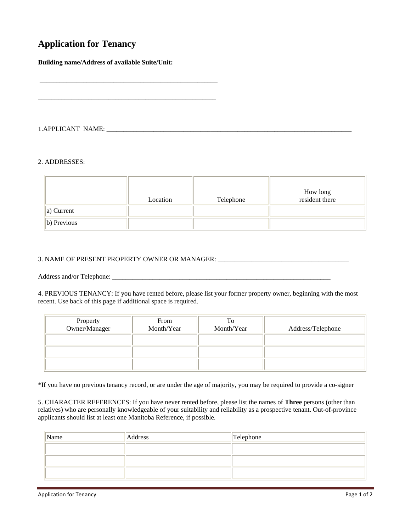## **Application for Tenancy**

**Building name/Address of available Suite/Unit:** 

\_\_\_\_\_\_\_\_\_\_\_\_\_\_\_\_\_\_\_\_\_\_\_\_\_\_\_\_\_\_\_\_\_\_\_\_\_\_\_\_\_\_\_\_\_\_\_\_\_\_\_\_\_

\_\_\_\_\_\_\_\_\_\_\_\_\_\_\_\_\_\_\_\_\_\_\_\_\_\_\_\_\_\_\_\_\_\_\_\_\_\_\_\_\_\_\_\_\_\_\_\_\_\_\_\_\_

1.APPLICANT NAME: \_\_\_\_\_\_\_\_\_\_\_\_\_\_\_\_\_\_\_\_\_\_\_\_\_\_\_\_\_\_\_\_\_\_\_\_\_\_\_\_\_\_\_\_\_\_\_\_\_\_\_\_\_\_\_\_\_\_\_\_\_\_\_\_\_\_\_\_\_\_\_\_\_

## 2. ADDRESSES:

|                     | Location | Telephone | How long<br>resident there |
|---------------------|----------|-----------|----------------------------|
| $\vert a)$ Current  |          |           |                            |
| $\vert$ b) Previous |          |           |                            |

## 3. NAME OF PRESENT PROPERTY OWNER OR MANAGER: \_\_\_\_\_\_\_\_\_\_\_\_\_\_\_\_\_\_\_\_\_\_\_\_\_\_\_\_\_\_\_\_\_\_

Address and/or Telephone: \_\_\_\_\_\_\_\_\_\_\_\_\_\_\_\_\_\_\_\_\_\_\_\_\_\_\_\_\_\_\_\_\_\_\_\_\_\_\_\_\_\_\_\_\_\_\_\_\_\_\_\_\_\_\_\_\_\_\_\_\_\_\_\_\_

4. PREVIOUS TENANCY: If you have rented before, please list your former property owner, beginning with the most recent. Use back of this page if additional space is required.

| Property<br>Owner/Manager | From<br>Month/Year | To<br>Month/Year | Address/Telephone |  |
|---------------------------|--------------------|------------------|-------------------|--|
|                           |                    |                  |                   |  |
|                           |                    |                  |                   |  |
|                           |                    |                  |                   |  |

\*If you have no previous tenancy record, or are under the age of majority, you may be required to provide a co-signer

5. CHARACTER REFERENCES: If you have never rented before, please list the names of **Three** persons (other than relatives) who are personally knowledgeable of your suitability and reliability as a prospective tenant. Out-of-province applicants should list at least one Manitoba Reference, if possible.

| $\sqrt{\frac{1}{2}}$ Name | <b>Address</b> | Telephone |
|---------------------------|----------------|-----------|
|                           |                |           |
|                           |                |           |
|                           |                |           |